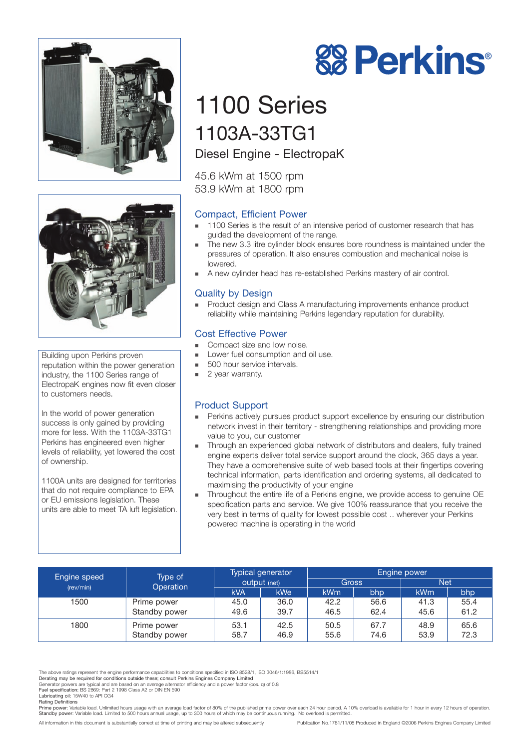



Building upon Perkins proven reputation within the power generation industry, the 1100 Series range of ElectropaK engines now fit even closer to customers needs.

In the world of power generation success is only gained by providing more for less. With the 1103A-33TG1 Perkins has engineered even higher levels of reliability, yet lowered the cost of ownership.

1100A units are designed for territories that do not require compliance to EPA or EU emissions legislation. These units are able to meet TA luft legislation.

# 1100 Series 1103A-33TG1

Diesel Engine - ElectropaK

45.6 kWm at 1500 rpm 53.9 kWm at 1800 rpm

# Compact, Efficient Power

- - 1100 Series is the result of an intensive period of customer research that has guided the development of the range.
- - The new 3.3 litre cylinder block ensures bore roundness is maintained under the pressures of operation. It also ensures combustion and mechanical noise is lowered.
- **A** new cylinder head has re-established Perkins mastery of air control.

# Quality by Design

- Product design and Class A manufacturing improvements enhance product reliability while maintaining Perkins legendary reputation for durability.

### Cost Effective Power

- -Compact size and low noise.
- - Lower fuel consumption and oil use.
	- -500 hour service intervals.
	- -2 year warranty.

# Product Support

- - Perkins actively pursues product support excellence by ensuring our distribution network invest in their territory - strengthening relationships and providing more value to you, our customer
- - Through an experienced global network of distributors and dealers, fully trained engine experts deliver total service support around the clock, 365 days a year. They have a comprehensive suite of web based tools at their fingertips covering technical information, parts identification and ordering systems, all dedicated to maximising the productivity of your engine
- - Throughout the entire life of a Perkins engine, we provide access to genuine OE specification parts and service. We give 100% reassurance that you receive the very best in terms of quality for lowest possible cost .. wherever your Perkins powered machine is operating in the world

| Engine speed | Type of<br>Operation | <b>Typical generator</b><br>output (net) |      | Engine power |      |            |      |
|--------------|----------------------|------------------------------------------|------|--------------|------|------------|------|
| (rev/min)    |                      |                                          |      | Gross        |      | <b>Net</b> |      |
|              |                      | <b>kVA</b>                               | kWe  | <b>kWm</b>   | bhp  | <b>kWm</b> | bhp  |
| 1500         | Prime power          | 45.0                                     | 36.0 | 42.2         | 56.6 | 41.3       | 55.4 |
|              | Standby power        | 49.6                                     | 39.7 | 46.5         | 62.4 | 45.6       | 61.2 |
| 1800         | Prime power          | 53.1                                     | 42.5 | 50.5         | 67.7 | 48.9       | 65.6 |
|              | Standby power        | 58.7                                     | 46.9 | 55.6         | 74.6 | 53.9       | 72.3 |

The above ratings represent the engine performance capabilities to conditions specified in ISO 8528/1, ISO 3046/1:1986, BS5514/1<br>Derating may be required for conditions outside these; consult Perkins Engines Company Limite

Lubricating oil: 15W40 to API CG4

All information in this document is substantially correct at time of printing and may be altered subsequently Publication No.1781/11/08 Produced in England ©2006 Perkins Engines Company Limited



Generator powers are typical and are based on an average alternator efficiency and a power factor (cos. q) of 0.8<br>**Fuel specification:** BS 2869: Part 2 1998 Class A2 or DIN EN 590

Rating Definitions<br>Prime power: Variable load. Unlimited hours usage with an average load factor of 80% of the published prime power over each 24 hour period. A 10% overload is available for 1 hour in every 12 hours of ope Standby power: Variable load. Limited to 500 hours annual usage, up to 300 hours of which may be continuous running. No overload is permitted.